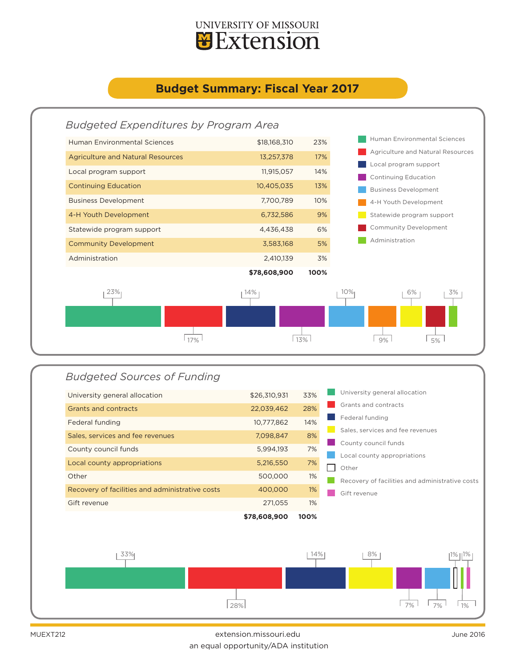

## **Budget Summary: Fiscal Year 2017**



## *Budgeted Sources of Funding*

| \$78,608,900                                               |
|------------------------------------------------------------|
| Gift revenue                                               |
| Recovery of facilities and administrative costs<br>400,000 |
| Other<br>500,000                                           |
| Local county appropriations<br>5,216,550                   |
| County council funds<br>5,994,193                          |
| Sales, services and fee revenues<br>7,098,847              |
| 10,777,862<br>Federal funding                              |
| 22,039,462<br>Grants and contracts                         |
| \$26,310,931<br>University general allocation              |